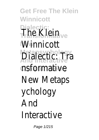**Get Free The Klein Winnicott Dialectic:** The Klein<sub>tive</sub> **Winnicott Metapsychology And Interactive** Dialectic: Tra **Clinical Theory** nsformative New Metaps ychology And Interactive

Page 1/215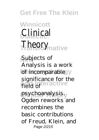#### **Get Free The Klein**

**Winnicott Clinical Theory**<sub>mative</sub>

**New** Subjects of of incomparable<sup>y</sup> **And Interactive** field of psychoanalysis. Analysis is a work significance for the Ogden reworks and recombines the basic contributions of Freud, Klein, and Page 2/215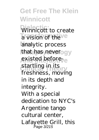**Get Free The Klein Winnicott** Winnicott to create **Transformation New** analytic process that has never ogy existed before<sub>ve</sub> startling in its<br>Clinical Theory freshness, moving in its depth and integrity. With a special dedication to NYC's Argentine tango cultural center, Lafayette Grill, this Page 3/215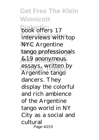**Get Free The Klein Winnicott book** offers 17 interviews with top **NYC** Argentine tango professionals **And Interactive** &19 anonymous essays, written by Argentine tango dancers. They display the colorful and rich ambience of the Argentine tango world in NY City as a social and cultural Page 4/215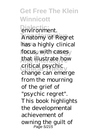**Get Free The Klein Winnicott Dialectic:** environment. **Anatomy of Regret** has a highly clinical focus, with casesy that illustrate how critical psychic change can emerge from the mourning of the grief of "psychic regret". This book highlights the developmental achievement of owning the guilt of Page 5/215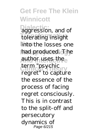# **Get Free The Klein Winnicott**

**Dialectic:** aggression, and of tolerating insight linto/the losses one had produced. The author uses the term "psychic<br>cal Yneory regret" to capture the essence of the process of facing regret consciously. This is in contrast to the split-off and persecutory dynamics of Page 6/215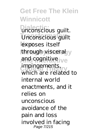**Get Free The Klein Winnicott Dialectic:** unconscious guilt. Unconscious guilt **New** exposes itself through visceral y and cognitive ive impingements, which are related to internal world enactments, and it relies on unconscious avoidance of the pain and loss involved in facing Page 7/215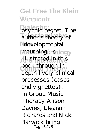**Get Free The Klein Winnicott Dialectic:** psychic regret. The author's theory of **New** "developmental mourning" isology **And Interactive** illustrated in this book through indepth lively clinical processes (cases and vignettes). In Group Music Therapy Alison Davies, Eleanor Richards and Nick Barwick bring Page 8/215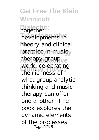**Get Free The Klein Winnicott Dialectic:** together developments in theory and clinical practice in musicy therapy group<sub>Ve</sub> work, celebrating the richness of what group analytic thinking and music therapy can offer one another. The book explores the dynamic elements of the processes Page 9/215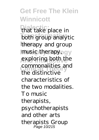# **Get Free The Klein Winnicott**

**Dialectic:** that take place in both group analytic therapy and group music therapyogy exploring both the commonalities and the distinctive characteristics of the two modalities. To music therapists, psychotherapists and other arts therapists Group Page 10/215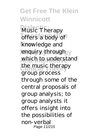**Get Free The Klein Winnicott Music Therapy** offers a body of knowledge and enquiry through y which to understand **Clinical Theory** the music therapy group process through some of the central proposals of group analysis; to group analysts it offers insight into the possibilities of non-verbal Page 11/215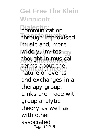**Get Free The Klein Winnicott Diamunication** through improvised music and, more widely, invites gy thought in musical terms about the nature of events and exchanges in a therapy group. Links are made with group analytic theory as well as with other associated Page 12/215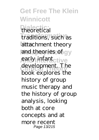**Get Free The Klein Winnicott Dialectic:** theoretical **traditions**, such as attachment theory and theories of gy early infant ctive development. The book explores the history of group music therapy and the history of group analysis, looking both at core concepts and at more recent Page 13/215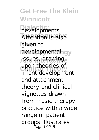**Get Free The Klein Winnicott** developments. Attention is also given to developmental<sub>ogy</sub> issues, drawing upon theories of infant development and attachment theory and clinical vignettes drawn from music therapy practice with a wide range of patient groups illustrates Page 14/215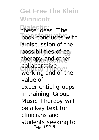**Get Free The Klein Winnicott Dialectic:** these ideas. The book concludes with **New** a discussion of the possibilities of cotherapy and other conaborative<br>working and of the collaborative value of experiential groups in training. Group Music Therapy will be a key text for clinicians and students seeking to Page 15/215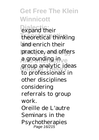**Get Free The Klein Winnicott Diamond** their **Transformative** theoretical thinking and enrich their practice, and offers **A** grounding in<sub>ve</sub> group analytic ideas to professionals in other disciplines considering referrals to group work. Oreille de L'autre Seminars in the Psychotherapies Page 16/215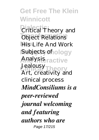**Get Free The Klein Winnicott Critical Theory and Object Relations His Life And Work Subjects of ology** Analysis<sub>ractive</sub> **Clinical Theory** Jealousy Art, creativity and clinical process *MindConsiliums is a peer-reviewed journal welcoming and featuring authors who are* Page 17/215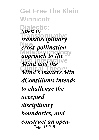**Get Free The Klein Winnicott Dialectic: Transformative** *transdisciplinary* **New** *cross-pollination* approach to the<sup>gy</sup> *And and the* **Clinical Theory** *Mind's matters.Min open to dConsiliums intends to challenge the accepted disciplinary boundaries, and construct an open-*Page 18/215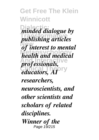## **Get Free The Klein Winnicott**

**Dialective dialogue** by **Transformative** *publishing articles* **New** *of interest to mental* **Metapsychology** *health and medical professionals, educators, AI*<sup>Pry</sup> *researchers, neuroscientists, and other scientists and scholars of related disciplines. Winner of the* Page 19/215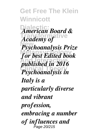**Get Free The Klein Winnicott Dialectic:** *American Board &* **Transformative** *Academy of* **New** *Psychoanalysis Prize* **Metapsychology** *for best Edited book* published in 2016 **Clinical Theory** *Psychoanalysis in Italy is a particularly diverse and vibrant profession, embracing a number of influences and* Page 20/215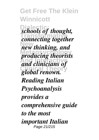## **Get Free The Klein Winnicott**

**Dialectic:** *schools of thought,* **Transformative** *connecting together* **New** *new thinking, and* **Metapsychology** *producing theorists* **And Interactive** *and clinicians of* global renown. *Reading Italian Psychoanalysis provides a comprehensive guide to the most important Italian* Page 21/215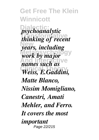**Get Free The Klein Winnicott Dialectic:** *psychoanalytic* **Transformative** *thinking of recent* **New** *years, including* work by major<sup>gy</sup> *names such as* **Clinical Theory** *Weiss, E.Gaddini, Matte Blanco, Nissim Momigliano, Canestri, Amati Mehler, and Ferro. It covers the most important* Page 22/215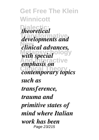**Get Free The Klein Winnicott**  $theoretical$ **Transformative** *developments and* **New** *clinical advances,* with special<sup>ology</sup> **And Interactive** *emphasis on* **COLIGENS CONTEMPORARY** *such as transference, trauma and primitive states of mind where Italian work has been* Page 23/215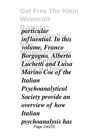**Get Free The Klein Winnicott Dialectic:** *particular* **Transformative** *influential. In this* **New** *volume, Franco* **Metapsychology** *Borgogno, Alberto* **And Interactive** *Luchetti and Luisa* **Clinical Theory** *Marino Coe of the Italian Psychoanalytical Society provide an overview of how Italian psychoanalysis has* Page 24/215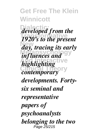**Get Free The Klein Winnicott Dialectic:** *developed from the* **Transformative** *1920's to the present* **New** *day, tracing its early influences and* <sup>gy</sup> *highlighting contemporary developments. Fortysix seminal and representative papers of psychoanalysts belonging to the two* Page 25/215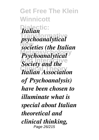**Get Free The Klein Winnicott Dialectic:** *Italian* **Transformative** *psychoanalytical* **New** *societies (the Italian Psychoanalytical* **And Internatively Clinical Theory** *Italian Association of Psychoanalysis) have been chosen to illuminate what is special about Italian theoretical and clinical thinking,* Page 26/215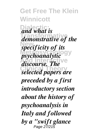**Get Free The Klein Winnicott Dialectic:** *and what is* **Transformative** *demonstrative of the* **New** *specificity of its psychoanalytic*<sup>9</sup> *discourse. The* **Clinical Theory** *selected papers are preceded by a first introductory section about the history of psychoanalysis in Italy and followed by a "swift glance* Page 27/215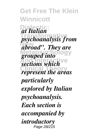**Get Free The Klein Winnicott Dialectic:** *at Italian* **Transformative** *psychoanalysis from* **New** *abroad". They are grouped into* **And Interactive** *sections which* **Clinical Theory** *represent the areas particularly explored by Italian psychoanalysis. Each section is accompanied by introductory* Page 28/215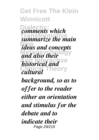**Get Free The Klein Winnicott** *<u>comments</u>* which **Transformative** *summarize the main* **New** *ideas and concepts* and also their *historical and*  $V^e$ **Clinical Theory** *cultural background, so as to offer to the reader either an orientation and stimulus for the debate and to indicate their* Page 29/215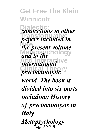**Get Free The Klein Winnicott Diamections to other Transformative** *papers included in* **New** *the present volume* and to the **hology** *international* **Clinical Theory** *psychoanalytic world. The book is divided into six parts including: History of psychoanalysis in Italy Metapsychology* Page 30/215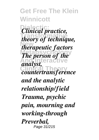## **Get Free The Klein Winnicott**

 $Clinical\ practice,$ **Transformative** *theory of technique,* **New** *therapeutic factors The person of the* **And Interactive** *analyst,* **Clinical Theory** *countertransference and the analytic relationship/field Trauma, psychic pain, mourning and working-through Preverbal,* Page 31/215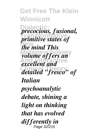**Get Free The Klein Winnicott Dialectic:** *precocious, fusional,* **Transformative** *primitive states of* **New** *the mind This volume offers an excellent and* **Clinical Theory** *detailed "fresco" of Italian psychoanalytic debate, shining a light on thinking that has evolved differently in* Page 32/215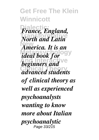## **Get Free The Klein Winnicott**

**Dialectic:** *France, England,* **Transformative** *North and Latin* **New** *America. It is an Metal book for beginners and*  $V^e$ **Clinical Theory** *advanced students of clinical theory as well as experienced psychoanalysts wanting to know more about Italian psychoanalytic* Page 33/215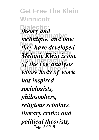**Get Free The Klein Winnicott Dialectic:** *theory and Transformation* **New** *they have developed.* **Metapsychology** *Melanie Klein is one* **And Interactive** *of the few analysts* **Clinical Theory** *whose body of work has inspired sociologists, philosophers, religious scholars, literary critics and political theorists,* Page 34/215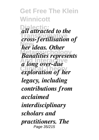## **Get Free The Klein Winnicott**

**Dialectic:** *all attracted to the* **Transformative** *cross-fertilisation of* **New** *her ideas. Other* **Metapsychology** *Banalities represents* **And Interactive** *a long over-due* **Constraint** Exploration of her *legacy, including contributions from acclaimed interdisciplinary scholars and practitioners. The* Page 35/215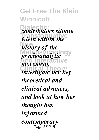**Get Free The Klein Winnicott Dialectic:** *contributors situate Klein within the* **New** *history of the metary system*<sup>g</sup> *systemalytic <i>Movement,* **Clinical Theory** *investigate her key theoretical and clinical advances, and look at how her thought has informed contemporary* Page 36/215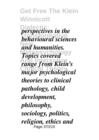**Get Free The Klein Winnicott** *<u>perspectives</u> in the* **Transformative** *behavioural sciences* **New** *and humanities.* **Topics covered** gy **And Interactive** *range from Klein's* **Clinical Theory** *major psychological theories to clinical pathology, child development, philosophy, sociology, politics, religion, ethics and* Page 37/215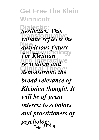**Get Free The Klein Winnicott Dialectic:** *aesthetics. This* **Transformative** *volume reflects the* **New** *auspicious future* **Metapsychology** *for Kleinian revivalism and* **Clinical Theory** *demonstrates the broad relevance of Kleinian thought. It will be of great*

*interest to scholars and practitioners of psychology,* Page 38/215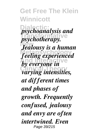**Get Free The Klein Winnicott Dialectic:** *psychoanalysis and* **Transformative** *psychotherapy.* **New** *Jealousy is a human* **Metapsychology** *feeling experienced by everyone in* **Clinical Theory** *varying intensities, at different times and phases of growth. Frequently confused, jealousy and envy are often intertwined. Even* Page 39/215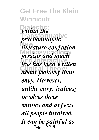**Get Free The Klein Winnicott** *<u>within</u>* the **Transformative** *psychoanalytic* **New** *literature confusion* **Metapsychology** *persists and much* **And Interactive** *less has been written* **Clinical Theory** *about jealousy than envy. However, unlike envy, jealousy involves three entities and affects all people involved. It can be painful as* Page 40/215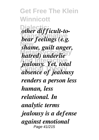*<u>other</u> difficult-to-***Transformative** *bear feelings (e.g.* **New** *shame, guilt anger, Matred)* underlie **And Interactive** *jealousy. Yet, total* **Clinical Theory** *absence of jealousy renders a person less human, less relational. In analytic terms jealousy is a defense against emotional* Page 41/215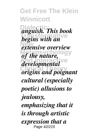**Dialectic:** *anguish. This book* **Transformative** *begins with an* **New** *extensive overview* of the nature, developmental<sup>Ve</sup> **Clinical Theory** *origins and poignant cultural (especially poetic) allusions to jealousy, emphasizing that it is through artistic expression that a* Page 42/215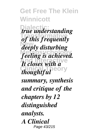**Dialectic:** *true understanding* **Transformative** *of this frequently* **New** *deeply disturbing* **Metapsychology** *feeling is achieved. It closes with a thoughtful* 

*summary, synthesis and critique of the chapters by 12 distinguished analysts. A Clinical* Page 43/215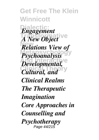**Get Free The Klein Winnicott Dialectic:** *Engagement A New Object* ve **Relations View of Psychoanalysis** *Developmental*, *Cultural, and*<sup>Ty</sup> *Clinical Realms The Therapeutic Imagination Core Approaches in Counselling and Psychotherapy* Page 44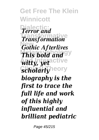**Get Free The Klein Winnicott Dialectic:** *Terror and* **Transformation New** *Gothic Afterlives* **This bold and And Interactive** *witty, yet Scholarlyheory biography is the first to trace the full life and work of this highly influential and brilliant pediatric*

Page 45/215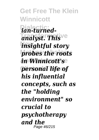**Get Free The Klein Winnicott Dialectic:** *ian-turned* $analyst$ . This<sup>ve</sup> **New** *insightful story* probes the roots  $$ **Clinical Theory** *personal life of his influential concepts, such as the "holding environment" so crucial to psychotherapy and the* Page 46/215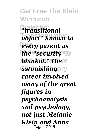**Get Free The Klein Winnicott Dialectic:** *"transitional* **Transformative** *object" known to* **New** *every parent as the "security* gy *blanket." His*  $a$ *stonishing*ory *career involved many of the great figures in psychoanalysis and psychology, not just Melanie Klein and Anna* Page 47/215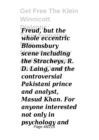**Get Free The Klein Winnicott Dialectic:** *Freud, but the* **Transformative** *whole eccentric* **New** *Bloomsbury* **Metapsychology** *scene including* **And Interactive** *the Stracheys, R.* **D. Laing, and the** *controversial Pakistani prince and analyst, Masud Khan. For anyone interested not only in psychology and* Page 48/215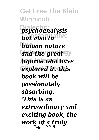**Get Free The Klein Winnicott Dialectic:** *psychoanalysis*  $b$ *ut also in*ative **New** *human nature and the great* gy **And Interactive** *figures who have* **Clinical Theory** *explored it, this book will be passionately absorbing. 'This is an extraordinary and exciting book, the work of a truly* Page 49/215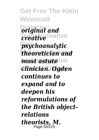**Get Free The Klein Winnicott Dialectic:** *original and creative* mative **New** *psychoanalytic* **Metapsychology** *theoretician and <i>most astute* ive *Clinician. Ogden continues to expand and to deepen his reformulations of the British objectrelations theorists, M.* Page 50/215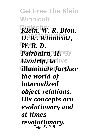**Get Free The Klein Winnicott Dialectic:** *Klein, W. R. Bion,* **Transformative** *D. W. Winnicott,* **New** *W. R. D.* **Metapsychology** *Fairbairn, H. Guntrip, totive* **Clinical Theory** *illuminate further the world of internalized object relations. His concepts are evolutionary and at times revolutionary.* Page 51/215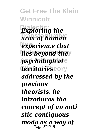**Get Free The Klein Winnicott** *Exploring the* **Transformative** *area of human* **New** *experience that lies beyond the psychological* **Clinical Theory** *territories addressed by the previous theorists, he introduces the concept of an auti stic-contiguous mode as a way of* Page 52/215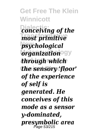**Get Free The Klein Winnicott Dialectic:** *conceiving of the* **Transformative** *most primitive* **New** *psychological organization* **And Interactive** *through which* **Clinical Theory** *the sensory 'floor' of the experience of self is generated. He conceives of this mode as a sensor y-dominated, presymbolic area* Page 53/215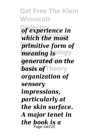**Get Free The Klein Winnicott** *<u>Of experience</u> in* **Transformative** *which the most* **primitive form of** *meaning is* logy *generated on the basis* of Theory *organization of sensory impressions, particularly at the skin surface. A major tenet in the book is a* Page 54/215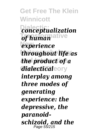**Get Free The Klein Winnicott Dialectic:** *conceptualization*  $of$ *human*<sup>ative</sup> **New** *experience* **Metapsychology** *throughout life as* **And Interactive** *the product of a*  $dialecti\bar{c}ale$ ory *interplay among three modes of generating experience: the depressive, the paranoidschizoid, and the*  Page 55/215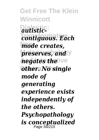**Get Free The Klein Winnicott Dialectic:** *autistic-***Transformative** *contiguous. Each* **New** *mode creates,* **preserves, and y** *hegates the ive* **Other. No single** *mode of generating experience exists independently of the others. Psychopathology is conceptualized* Page 56/215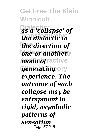**Get Free The Klein Winnicott Dialectic:** *as a 'collapse' of* **Transformative** *the dialectic in* **New** *the direction of* **one or another**y *Anode* ofractive *generating*ory *experience. The outcome of such collapse may be entrapment in rigid, asymbolic patterns of sensation* Page 57/215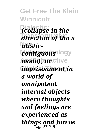**Get Free The Klein Winnicott Dialectic:** *(collapse in the* **Transformative** *direction of the a* **New** *utisticcontiguous* logy *mode), or* ctive **Clinical Theory** *imprisonment in a world of omnipotent internal objects where thoughts and feelings are experienced as things and forces* Page 58/215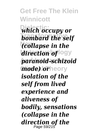**Get Free The Klein Winnicott Dialectic:** *which occupy or* **bombard the self New** *(collapse in the* direction of logy **And Interactive** *paranoid-schizoid mode) lorheory isolation of the self from lived experience and aliveness of bodily, sensations (collapse in the direction of the* Page 59/215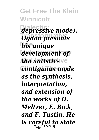**Get Free The Klein Winnicott Dialectic:** *depressive mode).* **Transformative** *Ogden presents* **New** *his unique* **Metapsychology** *development of the autistic-ive* **Clinical Theory** *contiguous mode as the synthesis, interpretation, and extension of the works of D. Meltzer, E. Bick, and F. Tustin. He is careful to state* Page 60/215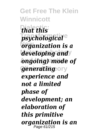**Get Free The Klein Winnicott Dialectic:** *that this*  $psychological<sup>°</sup>$ **New** *organization is a* developing and/ **And Interactive** *ongoing) mode of generating*ory *experience and not a limited phase of development; an elaboration of this primitive organization is an* Page 61/215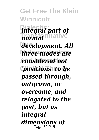**Get Free The Klein Winnicott Dialectic:** *integral part of* **Transformative** *normal* **New** *development. All* three modes are **And Interactive** *considered not* **Clinical Theory** *'positions' to be passed through, outgrown, or overcome, and relegated to the past, but as integral dimensions of* Page 62/215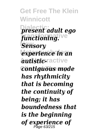**Get Free The Klein Winnicott Dialectic:** *present adult ego* **Transformative** *functioning.* **New** *Sensory* **Metapsychology** *experience in an Autistic-ractive* **Clinical Theory** *contiguous mode has rhythmicity that is becoming the continuity of being; it has boundedness that is the beginning of experience of* Page 63/215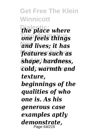*the place where* **Transformative** *one feels things* **New** *and lives; it has* **Metapsychology** *features such as* **And Interactive** *shape, hardness,*  $Cold$ , warmth and *texture, beginnings of the qualities of who one is. As his generous case examples aptly demonstrate,* Page 64/215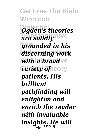**Get Free The Klein Winnicott Dialectic:** *Ogden's theories*  $\overline{a}$ re solidly<sup>ative</sup> **New** *grounded in his* **Metapsychology** *discerning work Avith a broad* ve *Variety of* neory *patients. His brilliant pathfinding will enlighten and enrich the reader with invaluable insights. He will* Page 65/215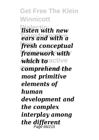**Get Free The Klein Winnicott Dialectic:** *listen with new* **Transformative** *ears and with a* **New** *fresh conceptual* framework with  $\ell$ *which to* active *Comprehend the most primitive elements of human development and the complex interplay among the different* Page 66/215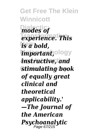**Get Free The Klein Winnicott Dialectic:** *modes of* **Transformative** *experience. This* **New** *is a bold, important,*ology **And Interactive** *instructive, and* **Clinical Theory** *stimulating book of equally great clinical and theoretical applicability.' —The Journal of the American Psychoanalytic* Page 67/215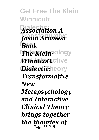**Get Free The Klein Winnicott**  $\overline{A}$ *ssociation* A **Transformative** *Jason Aronson* **New** *Book The Klein-* $\bm{W}$ innicott<code>ctive</code> *Dialectic:***heory** *Transformative New Metapsychology and Interactive Clinical Theory brings together the theories of* Page 68/215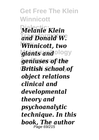**Get Free The Klein Winnicott Dialectic:** *Melanie Klein* **Transformative** *and Donald W.* **New** *Winnicott, two* **giants and ology** *geniuses of the* **Clinical Theory** *British school of object relations clinical and developmental theory and psychoanalytic technique. In this book, The author* Page 69/215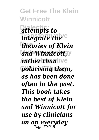**Get Free The Klein Winnicott Dialectic:** *attempts to integrate the* **New** *theories of Klein*  $and$  *Winnicott*, y *<i>rather thantive* **Clinical Theory** *polarising them, as has been done often in the past. This book takes the best of Klein and Winnicott for use by clinicians on an everyday* Page 70/215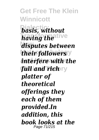**Get Free The Klein Winnicott Dialectic:** *basis, without* **Transformative** *having the* **New** *disputes between their followers* **And Interactive** *interfere with the full and rich platter of theoretical offerings they each of them provided.In addition, this book looks at the* Page 71/215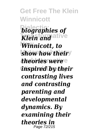**Get Free The Klein Winnicott** *biographies of Klein and* ative **New** *Winnicott, to* show how their<sup>y</sup> *theories were* **Clinical Theory** *inspired by their contrasting lives and contrasting parenting and developmental dynamics. By examining their theories in* Page 72/215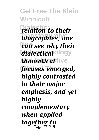**Get Free The Klein Winnicott Dialectic:** *relation to their biographies, one can see why their* dialectical<sup>ology</sup>  $theoretical$ **Clinical Theory** *focuses emerged, highly contrasted in their major emphasis, and yet highly complementary when applied together to* Page 73/215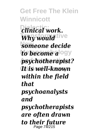**Get Free The Klein Winnicott**  $P<sub>cl</sub>$ *inical work.* Why would tive **New** *someone decide to become a***logy And Interactive** *psychotherapist?* **Clinical Theory** *It is well-known within the field that psychoanalysts and psychotherapists are often drawn to their future* Page 74/215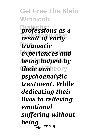**Get Free The Klein Winnicott Dialectic:** *professions as a* **Transformative** *result of early* **New** *traumatic*  $exp$ *experiences and being helped by their own* eory *psychoanalytic treatment. While dedicating their lives to relieving emotional suffering without being* Page 75/215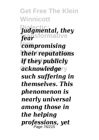**Get Free The Klein Winnicott Dialectic:** *judgmental, they* **Transformative** *fear* **New** *compromising their reputations if they publicly acknowledgery such suffering in themselves. This phenomenon is nearly universal among those in the helping professions, yet* Page 76/215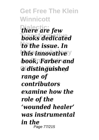**Get Free The Klein Winnicott** *there are few* **books** dedicated *to the issue. In this innovative* **And Interactive** *book, Farber and* **Clinical Theory** *a distinguished range of contributors examine how the role of the 'wounded healer' was instrumental in the* Page 77/215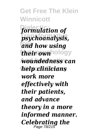**Get Free The Klein Winnicott** formulation of **Transformative** *psychoanalysis,* **New** *and how using their own***hology And Interactive** *woundedness can* **Clinical Theory** *help clinicians work more effectively with their patients, and advance theory in a more informed manner. Celebrating the* Page 78/215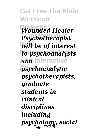**Get Free The Klein Winnicott Dialectic:** *Wounded Healer* **Transformative** *Psychotherapist* **New** *will be of interest* **Metapsychology** *to psychoanalysts* **And Interactive** *and* **Clinical Theory** *psychoanalytic psychotherapists, graduate students in clinical disciplines including psychology, social* Page 79/215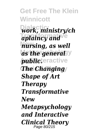**Get Free The Klein Winnicott Dialectic:** *work, ministry/ch aplaincy and*<sup>ve</sup> **New** *nursing, as well*  $as$  the general y *Aublicteractive* **The Changing** *Shape of Art Therapy Transformative New Metapsychology and Interactive Clinical Theory* Page 80/215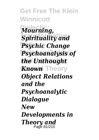**Get Free The Klein Winnicott Dialectic:** *Mourning,* **Spirituality and New** *Psychic Change* **Psychoanalysis of And Interactive** *the Unthought* **Known** Theory *Object Relations and the Psychoanalytic Dialogue New Developments in Theory and* Page 81/215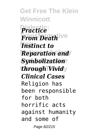**Get Free The Klein Winnicott Dialectic:** *Practice* **Transformative** *From Death* **Instinct to Reparation and** *Symbolization through Vividy Clinical Cases* Religion has been responsible for both horrific acts against humanity and some of Page 82/215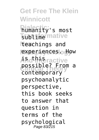**Get Free The Klein Winnicott Dialectic:** humanity's most **Tublime** mative **New** teachings and **experiences** odlow <u>Ahd Interactive</u> possible? From a<br>Contemporary contemporary psychoanalytic perspective, this book seeks to answer that question in terms of the psychological Page 83/215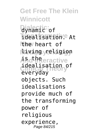**Get Free The Klein Winnicott Dialectic:** dynamic of **Tidealisation.** At **lthe** heart of **Metapsychology** living religion **And Interactive** idealisation of everyday objects. Such idealisations provide much of the transforming power of religious experience, Page 84/215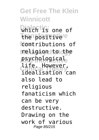**Get Free The Klein Winnicott Which is one of Transformative** the positive **New** contributions of **Metapsychology** religion to the **psychological Clinical Theory** idealisation can life. However, also lead to religious fanaticism which can be very destructive. Drawing on the work of various Page 85/215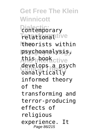**Get Free The Klein Winnicott Dialectic:** contemporary Trelationaltive **New** theorists within **Metapsychology** psychoanalysis, Ahtfirhensctive **Clinical Theory** oanalytically develops a psych informed theory of the transforming and terror-producing effects of religious experience. It Page 86/215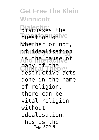## **Get Free The Klein Winnicott**

**Dialectic:** discusses the Tuestion of ive **New** whether or not, **Metapsychology** if idealisation **And Interactive** is the cause of **Clinical Theory** destructive acts many of the done in the name of religion, there can be vital religion without idealisation. This is the Page 87/215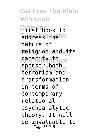**Get Free The Klein Winnicott Dialectic:** first book to address theive **New** nature of **Metapsychology** religion and its **And Andrity at Pive Clinical Theory** terrorism and sponsor both transformation in terms of contemporary relational psychoanalytic theory. It will be invaluable to Page 88/215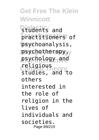**Get Free The Klein Winnicott Dialectic:** students and **Transformative** practitioners of **New** psychoanalysis, psychotherapy, y **And Interactive** psychology and **Clinical Theory** religious studies, and to others interested in the role of religion in the lives of individuals and societies. Page 89/215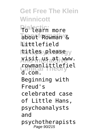**Get Free The Klein Winnicott** Pialectic: more about Rowman & **Nettlefield Metapsychology** titles please **And Interactive** visit us at www. **Clinical Theory** rowmanlittlefiel d.com. Beginning with Freud's celebrated case of Little Hans, psychoanalysts and psychotherapists Page 90/215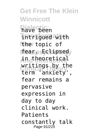**Get Free The Klein Winnicott Dialectic:** have been **Transformative** intrigued with **Hhe** topic of lfeanps5clipsed<sub>y</sub> **And Interactive** in theoretical **Clinical Theory** term 'anxiety', writings by the fear remains a pervasive expression in day to day clinical work. Patients constantly talk Page 91/215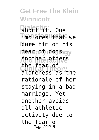**Get Free The Klein Winnicott Dialectic:** about it. One Implores That we **New** cure him of his l**fear pof dogs.**gy **And Interactive** Another offers **Clinical Theory** aloneness as the the fear of rationale of her staying in a bad marriage. Yet another avoids all athletic activity due to the fear of Page 92/215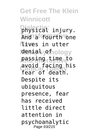**Get Free The Klein Winnicott Dialectic:** physical injury. **Transformative** And a fourth one **New** lives in utter l**denial** sylfhology **And Interactive** passing time to **Clinical Theory** fear of death. avoid facing his Despite its ubiquitous presence, fear has received little direct attention in psychoanalytic Page 93/215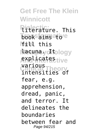**Get Free The Klein Winnicott Dialectic:** literature. This **book aims atore New** fill this **Metapsychology** lacuna. It **And Interactive** explicates **Clinical Theory** various intensities of fear, e.g. apprehension, dread, panic, and terror. It delineates the boundaries between fear and Page 94/215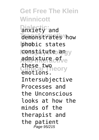**Get Free The Klein Winnicott Directly** and demonstrates how **New** phobic states l**constitute an**gy **admixture of**ve these two<br>Clinical Theory emotions. Intersubjective Processes and the Unconscious looks at how the minds of the therapist and the patient Page 95/215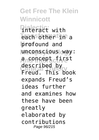**Get Free The Klein Winnicott Pinteract** with **Transformative** each other in a **New** profound and **Metapsychology** unconscious way: **And Interactive** a concept first **Clinical Theory** Freud. This book described by expands Freud's ideas further and examines how these have been greatly elaborated by contributions Page 96/215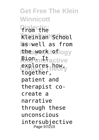**Get Free The Klein Winnicott Dialectic:** from the **Transformative** Kleinian School **New** as well as from **Metapsychology** the work of **And Interactive** explores how, together, patient and therapist cocreate a narrative through these unconscious intersubjective Page 97/215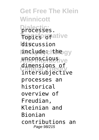**Get Free The Klein Winnicott Dialectic:** processes. **Topics of ative Niscussion Metapsychology** include: the **And Interactive** unconscious **Clinical Theory** intersubjective dimensions of processes an historical overview of Freudian, Kleinian and Bionian contributions an Page 98/215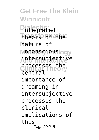**Get Free The Klein Winnicott Dialectic:** integrated **Transformative** theory of the **New** nature of **Metapsychology** unconscious **And Interactive** intersubjective **Clinical Theory** processes the central importance of dreaming in intersubjective processes the clinical implications of this Page 99/215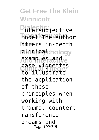**Get Free The Klein Winnicott Dialectic:** intersubjective **Transformative** model The author **loffers** in-depth **Metapsychology examples aand e Clinical Theory** to illustrate case vignettes the application of these principles when working with trauma, countert ransference dreams and Page 100/215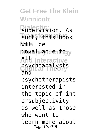**Get Free The Klein Winnicott Dialectic:** supervision. As **Transformative** such, this book **New** will be **Metapsychology** invaluable to **And Interactive** all **Clinical Theory** psychoanalysts and psychotherapists interested in the topic of int ersubjectivity as well as those who want to learn more about Page 101/215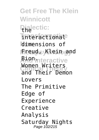**Get Free The Klein Winnicott Pialectic: Interactionale New** dimensions of **Metapsychology** Freud, Klein and **And Interactive Clinical Theory** and Their Demon Women Writers Lovers The Primitive Edge of Experience Creative Analysis Saturday Nights Page 102/215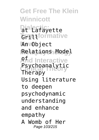**Get Free The Klein Winnicott Dialectic: Transformative New** An Object **Metapsychology** Relations Model **A**nd Interactive **Psychoanalytic** Therapy Using literature to deepen psychodynamic understanding and enhance empathy A Womb of Her Page 103/215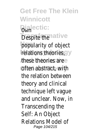**Get Free The Klein Winnicott Dialectic:** Own **Despite the tive popularity of object** relations theories, **And Interactive** these theories are **Often abstract**y with the relation between theory and clinical technique left vague and unclear. Now, in Transcending the Self: An Object Relations Model of Page 104/215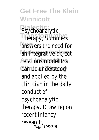**Get Free The Klein Winnicott Dialectic:** Psychoanalytic **Therapy, Summers** answers the need for an integrative object **And Interactive** relations model that Can ibe lunderstood and applied by the clinician in the daily conduct of psychoanalytic therapy. Drawing on recent infancy research, Page 105/215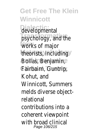**Get Free The Klein Winnicott Dialectic:** developmental psychology, and the **New** works of major theorists, including **And Interactive** Bollas, Benjamin, **Clinical Theory** Fairbairn, Guntrip, Kohut, and Winnicott, Summers melds diverse objectrelational contributions into a coherent viewpoint with broad clinical Page 106/215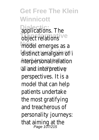**Get Free The Klein Winnicott Diplications.** The **Transformations** model emerges as a distinct amalgam of i **Aterpersonal/relation** al and interpretive perspectives. It is a model that can help patients undertake the most gratifying and treacherous of personality journeys: that aiming at the Page 107/215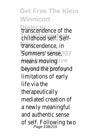**Get Free The Klein Winnicott Dialectic:** transcendence of the childhood self. Self-**New** transcendence, in Summers' sense, means moving e beyond the profound limitations of early life via the therapeutically mediated creation of a newly meaningful and authentic sense of self. Following two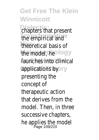**Get Free The Klein Winnicott** chapters that present the empirical and <sup>ive</sup> theoretical basis of the model, he hology *Aaunches into clinical* applications by eory presenting the concept of therapeutic action that derives from the model. Then, in three successive chapters, he applies the model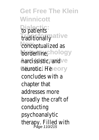**Get Free The Klein Winnicott Dialectic:** to patients traditionally mative conceptualized as borderline, ychology harcissistic, and tive neuroticaHeTheory concludes with a chapter that addresses more broadly the craft of conducting psychoanalytic therapy. Filled with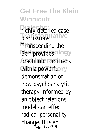**Get Free The Klein Winnicott richly detailed case** discussions, mative **Transcending the** Self provides hology practicing clinicians e With a powerful or y demonstration of how psychoanalytic therapy informed by an object relations model can effect radical personality change. It is an<br>Page 111/215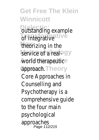**Get Free The Klein Winnicott Dutstanding example** of integrative theorizing in the service of a real-logy world therapeutic<sup>i</sup>ve approach. Theory Core Approaches in Counselling and Psychotherapy is a comprehensive guide to the four main psychological approaches Page 112/215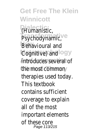**Get Free The Klein Winnicott Dialectic:** (Humanistic, Psychodynamic, live **Behavioural and** Cognitive) and ology **introduces several of** the most common ry therapies used today. This textbook contains sufficient coverage to explain all of the most important elements of these core Page 113/215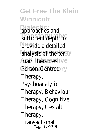**Get Free The Klein Winnicott Dialectic:** approaches and sufficient depth to<sup>ve</sup> provide a detailed analysis of the ten<sup>ogy</sup> main therapies: ctive Person-Centred ory Therapy, Psychoanalytic Therapy, Behaviour Therapy, Cognitive Therapy, Gestalt Therapy, **Transactional** Page 114/215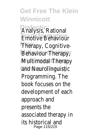**Get Free The Klein Winnicott Dialectic:** Analysis, Rational Emotive Behaviour<sup>ve</sup> **Therapy, Cognitive-Behaviour Therapy Multimodal Therapy e** and Neurolinguistic<sup>y</sup> Programming. The book focuses on the development of each approach and presents the associated therapy in its historical and Page 115/215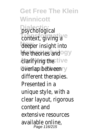**Get Free The Klein Winnicott Dialectic:** psychological context, giving a live deeper insight into the theories and logy *<u>Alarifying the active</u>* overlap between or y different therapies. Presented in a unique style, with a clear layout, rigorous content and extensive resources available online, Page 116/215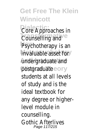**Get Free The Klein Winnicott** Core Approaches in *Counselling and tive* Psychotherapy is an invaluable asset for gy undergraduate and e postgraduateheory students at all levels of study and is the ideal textbook for any degree or higherlevel module in counselling. Gothic Afterlives Page 117/215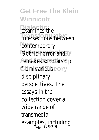**Get Free The Klein Winnicott Diamines** the intersections between **contemporary** Gothic horror and ogy remakes scholarship<sup>e</sup> from various heory disciplinary perspectives. The essays in the collection cover a wide range of transmedia examples, including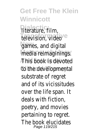**Get Free The Klein Winnicott Dialectic:** literature, film, television, video tive games, and digital media reimaginings. 9y **This book is devoted** to the developmental substrate of regret and of its vicissitudes over the life span. It deals with fiction, poetry, and movies pertaining to regret. The book elucidates Page 119/215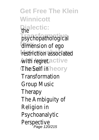**Get Free The Klein Winnicott Dialectic:** the psychopathological<sup>/e</sup> dimension of ego restriction associated **A**with regret. ractive **The Self in Theory Transformation** Group Music Therapy The Ambiguity of Religion in Psychoanalytic Perspective Page 120/215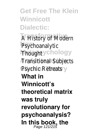**Get Free The Klein Winnicott Dialectic:**

A History of Modern<sup>e</sup> Psychoanalytic **Thought** sychology *Aransitional Subjects* Psychic Retreats or y **What in Winnicott's theoretical matrix was truly revolutionary for psychoanalysis? In this book, the** Page 121/215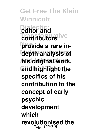**Get Free The Klein Winnicott Dialectic: editor and contributors provide a rare indepth analysis of And Interactive his original work, Clinical Theory and highlight the specifics of his contribution to the concept of early psychic development which revolutionised the** Page 122/215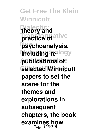**Get Free The Klein Winnicott Dialectic: theory and practice of** ative **New psychoanalysis. Including re-logy And Interactive publications of Clinical Theory selected Winnicott papers to set the scene for the themes and explorations in subsequent chapters, the book examines how** Page 123/215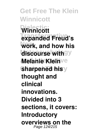**Get Free The Klein Winnicott Dialectic: Winnicott Transformative expanded Freud's New work, and how his**  $discourse with <sup>9</sup>$ **Melanie Klein**ve **Sharpened his**y **thought and clinical innovations. Divided into 3 sections, it covers: Introductory overviews on the** Page 124/215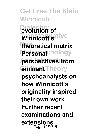**Get Free The Klein Winnicott Dialectic: evolution of Transformative Winnicott's New theoretical matrix Personal**chology **And Interactive perspectives from Clinical Theory eminent psychoanalysts on how Winnicott's originality inspired their own work Further recent examinations and extensions** Page 125/215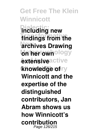**Get Free The Klein Winnicott Dialectic: including new** findings from the **Archives Drawing on her own**ology *<u>Axtensiveactive</u>* **knowledge** of ry **Winnicott and the expertise of the distinguished contributors, Jan Abram shows us how Winnicott's contribution** Page 126/215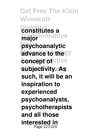**Get Free The Klein Winnicott Dialectic: constitutes a Transformative New psychoanalytic advance to the** *<u>Aoncept of ctive</u>* **Subjectivity. As major such, it will be an inspiration to experienced psychoanalysts, psychotherapists and all those interested in** Page 127/215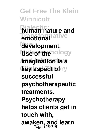**Get Free The Klein Winnicott Dialectic: human nature and Lemotionally New development. Use of the hology And Interactive imagination is a key aspect of ry successful psychotherapeutic treatments. Psychotherapy helps clients get in touch with, awaken, and learn** Page 128/215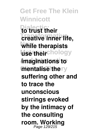**Get Free The Klein Winnicott Dialectic: to trust their Transformative creative inner life, New while therapists Msetheir**chology **And Interactive imaginations to mentalise thery suffering other and to trace the unconscious stirrings evoked by the intimacy of the consulting room. Working** Page 129/215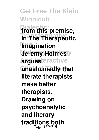**Get Free The Klein Winnicott Dialectic: from this premise, Transformative in The Therapeutic Imagination** *<u>Jeremy Holmes</u>* **Argues** eractive **Clinical Theory unashamedly that literate therapists make better therapists. Drawing on psychoanalytic and literary traditions both** Page 130/215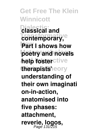**Get Free The Klein Winnicott Dialectic: classical and** contemporary,<sup>e</sup> **New Part I shows how** poetry and novels **help fosterctive** therapists'ieory **understanding of their own imaginati on-in-action, anatomised into five phases: attachment, reverie, logos,** Page 131/215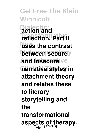**Get Free The Klein Winnicott Dialectic: action and Transformative reflection. Part II New uses the contrast between secure And insecure ve narrative styles in attachment theory and relates these to literary storytelling and the transformational aspects of therapy.** Page 132/215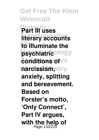**Get Free The Klein Winnicott Dialectic: Part III uses literary accounts New to illuminate the psychiatric**ology *<u>conditions of ve</u>*  $R$ arcissism, or y **anxiety, splitting and bereavement. Based on Forster's motto, 'Only Connect', Part IV argues, with the help of** Page 133/215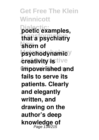**Get Free The Klein Winnicott Dialectic: poetic examples, Transformative that a psychiatry New shorn of psychodynamic**y *creativity* **is tive Clinical Theory impoverished and fails to serve its patients. Clearly and elegantly written, and drawing on the author's deep knowledge of** Page 134/215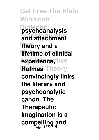**Get Free The Klein Winnicott Dialectic: psychoanalysis Transformative and attachment New theory and a lifetime of clinical**  $A$ **experience**, tive **Clinical Theory Holmes convincingly links the literary and psychoanalytic canon. The Therapeutic Imagination is a** compelling and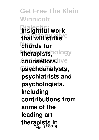**Get Free The Klein Winnicott Dialectic: insightful work Transformative that will strike New chords for** therapists, ology *<u>counsellors</u>tive* **Clinical Theory psychoanalysts, psychiatrists and psychologists. Including contributions from some of the leading art therapists in** Page 136/215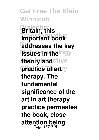**Get Free The Klein Winnicott Dialectic: Britain, this Transformative important book addresses the key issues in the ogy theory and ctive practice of art**ry **therapy. The fundamental significance of the art in art therapy practice permeates the book, close attention being** Page 137/215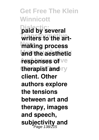**Get Free The Klein Winnicott Dialectic: paid by several** writers to the art**making process** and the aesthetic **responses of ve therapist and** ry **client. Other authors explore the tensions between art and therapy, images and speech,** subjectivity and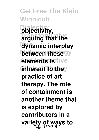**Get Free The Klein Winnicott Dialectic: objectivity, Transformative arguing that the New dynamic interplay between these** gy *<u>elements</u>* is tive **inherent To they practice of art therapy. The role of containment is another theme that is explored by contributors in a variety of ways to** Page 139/215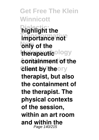**Get Free The Klein Winnicott highlight the Transformative importance not Nonly** of the **therapeutic**ology **And Interactive containment of the Client by theory therapist, but also the containment of the therapist. The physical contexts of the session, within an art room and within the** Page 140/215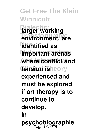**Get Free The Klein Winnicott Darger working Transformative environment, are New identified as important arenas And Interactive where conflict and** tension isheory **experienced and must be explored if art therapy is to continue to develop. In psychobiographie** Page 141/215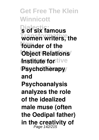**Get Free The Klein Winnicott Dialectic: s of six famous** women writers, the **New founder of the Object Relations** *<u>Institute</u>* for tive Psychotherapy **and Psychoanalysis analyzes the role of the idealized male muse (often the Oedipal father) in the creativity of** Page 142/215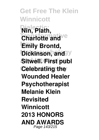**Get Free The Klein Winnicott Dialectic: Nin, Plath, Charlotte and**<sup>Ve</sup> **New Emily Brontd, Dickinson, and y Sitwell. First publ Celebrating the Wounded Healer Psychotherapist Melanie Klein Revisited Winnicott 2013 HONORS AND AWARDS** Page 143/215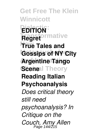**Get Free The Klein Winnicott Dialectic: EDITION Transformative Regret New True Tales and Gossips of NY City Argentine Tango Scene**l Theory **Reading Italian Psychoanalysis** *Does critical theory still need psychoanalysis? In Critique on the Couch, Amy Allen* Page 144/215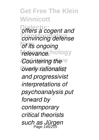**Get Free The Klein Winnicott Difers a cogent and Transformative** *convincing defense* **New** *of its ongoing* relevance.hology *Countering the* **Clinical Theory** *overly rationalist and progressivist interpretations of psychoanalysis put forward by contemporary critical theorists such as Jürgen* Page 145/215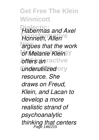**Get Free The Klein Winnicott Dialectic:** *Habermas and Axel* **Transformative** *Honneth, Allen* **New** *argues that the work of Melanie Klein Affers an ractive <u>underutilized</u>*ory *resource. She draws on Freud, Klein, and Lacan to develop a more realistic strand of psychoanalytic thinking that centers* Page 146/215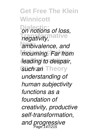**Get Free The Klein Winnicott Dialectic:** *on notions of loss,* **Transformative** *negativity,* **New** *ambivalence, and mourning. Far from* **And Interactive** *leading to despair, Such an* Theory *understanding of human subjectivity functions as a foundation of creativity, productive self-transformation, and progressive* Page 147/215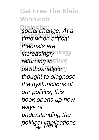**Get Free The Klein Winnicott Dialectic:** *social change. At a* **Transformative** *time when critical* **New** *theorists are increasingly*<sup>ology</sup> *<i>returning to***ctive** psychoanalytic<sup>y</sup> *thought to diagnose the dysfunctions of our politics, this book opens up new ways of understanding the political implications* Page 148/215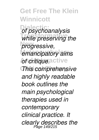**Get Free The Klein Winnicott**  $o$ *f psychoanalysis* while preserving the **New** *progressive, emancipatory aims And critique active* **This comprehensive** *and highly readable book outlines the main psychological therapies used in contemporary clinical practice. It clearly describes the* Page 149/215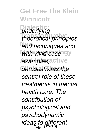**Get Free The Klein Winnicott Dialectic:** *underlying* **Transformative** *theoretical principles* and techniques and with vivid case<sup>ogy</sup>  $e$ xamples, active  $deno$ *nstrates the central role of these treatments in mental health care. The contribution of psychological and psychodynamic ideas to different* Page 150/215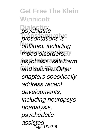**Get Free The Klein Winnicott Dialectic:** *psychiatric* **Transformative** *presentations is* **New** *outlined, including mood disorders,*<sup>9</sup> **And Interactive** *psychosis, self harm* and suicide. Other *chapters specifically address recent developments, including neuropsyc hoanalysis, psychedelicassisted* Page 151/215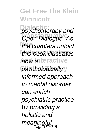**Get Free The Klein Winnicott**

**Dialectic:** *psychotherapy and* **Transformative** *Open Dialogue. As the chapters unfold* **Metapsychology** *this book illustrates how a***tteractive**  $p$ *sychologically informed approach to mental disorder can enrich psychiatric practice by providing a holistic and meaningful* Page 152/215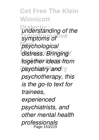**Get Free The Klein Winnicott Dialectic:** *understanding of the* symptoms of <sup>Ve</sup> **New** *psychological distress. Bringing* **And Interactive** *together ideas from* psychiatry and y *psychotherapy, this is the go-to text for trainees, experienced psychiatrists, and other mental health professionals* Page 153/215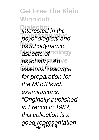**Get Free The Klein Winnicott**  $\overline{a}$ *interested in the* **Transformative** *psychological and* **New** *psychodynamic aspects of* hology *psychiatry. Anve* **Clinical Theory** *essential resource for preparation for the MRCPsych examinations. "Originally published in French in 1982, this collection is a good representation* Page 154/215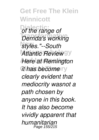**Get Free The Klein Winnicott**  $o$ *f* the range of **Transformative** *Derrida's working* **New** *styles."--South* **Atlantic Review**<sup>9</sup> **Here at Remington** *it has become* ry *clearly evident that mediocrity wasnot a path chosen by anyone in this book. It has also become vividly apparent that humanitarian* Page 155/215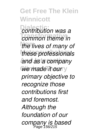**Get Free The Klein Winnicott**  $c$ *contribution was a* **Transformative** *common theme in the lives of many of* **Metapsychology** *these professionals and as a company* We made it our y *primary objective to recognize those contributions first and foremost. Although the foundation of our company is based* Page 156/215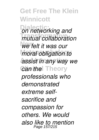**Get Free The Klein Winnicott Dia** networking and **Transformative** *mutual collaboration* **New** *we felt it was our moral obligation to* **Assist in any way we** *Can thel* Theory *professionals who demonstrated extreme selfsacrifice and compassion for others. We would also like to mention* Page 157/215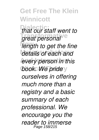**Get Free The Klein Winnicott Dialectic:** *that our staff went to* **Transformative** *great personal* **New** *length to get the fine* details of each and *every person in this* **book.** We pride y *ourselves in offering much more than a registry and a basic summary of each professional. We encourage you the reader to immerse* Page 158/215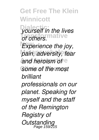**Get Free The Klein Winnicott Dialectic:** *yourself in the lives* **Transformative** *of others.* **Experience the joy, Metapsychology** *pain, adversity, fear and heroism of e* **Some of the most** *brilliant professionals on our planet. Speaking for myself and the staff of the Remington Registry of Outstanding* Page 159/215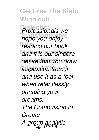**Get Free The Klein Winnicott Dialectic:** *Professionals we* **Transformative** *hope you enjoy* **New** *reading our book* **Metapsychology** *and it is our sincere* **And Interactive** *desire that you draw* **inspiration from it** *and use it as a tool when relentlessly pursuing your dreams. The Compulsion to Create A group analytic* Page 160/215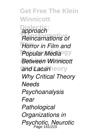**Get Free The Klein Winnicott Dialectic:** *approach* **Reincarnations of New** *Horror in Film and* **Popular Media**<sup>9</sup> *Between Winnicott* and Lacanheory *Why Critical Theory Needs Psychoanalysis Fear Pathological Organizations in Psychotic, Neurotic* Page 161/215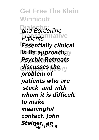**Get Free The Klein Winnicott Dialectic:** *and Borderline* **Patients mative Essentially clinical** *in its approach, y* **And Interactive** *Psychic Retreats* **Clinical Theory** *discusses the problem of patients who are 'stuck' and with whom it is difficult to make meaningful contact. John Steiner, an* Page 162/215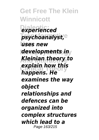**Get Free The Klein Winnicott Dialectic:** *experienced* **Transformative** *psychoanalyst,* **New** *uses new* **Metapsychology** *developments in* **And Interactive** *Kleinian theory to* **explain how this**<br>*explain theory happens. He examines the way object relationships and defences can be organized into complex structures which lead to a* Page 163/215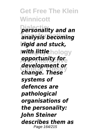**Get Free The Klein Winnicott**

**Dialectic:** *personality and an* **Transformative** *analysis becoming* **New** *rigid and stuck, with little* hology **And Interactive** *opportunity for* **Clinical Theory** *change. These development or systems of defences are pathological organisations of the personality: John Steiner describes them as* Page 164/215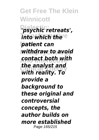**Get Free The Klein Winnicott Dialectic:** *'psychic retreats',* **Thto which the e New** *patient can* **Metapsychology** *withdraw to avoid* **And Interactive** *contact both with* **Clinical Theory** *with reality. To the analyst and provide a background to these original and controversial concepts, the author builds on more established* Page 165/215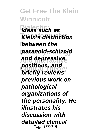**Get Free The Klein Winnicott Dialectic:** *ideas such as* **Transformative** *Klein's distinction* **between the Metapsychology** *paranoid-schizoid* **And Interactive** *and depressive bositions, and positions positions, and previous work on pathological organizations of the personality. He illustrates his discussion with detailed clinical* Page 166/215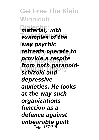**Get Free The Klein Winnicott Dialectic:** *material, with examples of the* **New** *way psychic retreats operate to* **And Interactive** *provide a respite* from both paranoid-<br>Cabizad **Phase** *schizoid and depressive anxieties. He looks at the way such organizations function as a defence against unbearable guilt* Page 167/215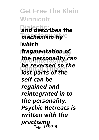**Get Free The Klein Winnicott Dialectic:** *and describes the Thechanism by e* **New** *which* **Metapsychology** *fragmentation of* **And Interactive** *the personality can* **Clinical Theory** *lost parts of the be reversed so the self can be regained and reintegrated in to the personality. Psychic Retreats is written with the practising* Page 168/215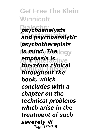**Get Free The Klein Winnicott Dialectic:** *psychoanalysts* **Transformative** *and psychoanalytic* **New** *psychotherapists in mind. The*logy **And Interactive** *emphasis is* **Clinical Theory** *throughout the therefore clinical book, which concludes with a chapter on the technical problems which arise in the treatment of such severely ill* Page 169/215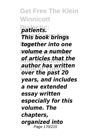**Get Free The Klein Winnicott Dialectic:** *patients. This book brings* **New** *together into one* **Metapsychology** *volume a number* **And Interactive** *of articles that the* **Clinical Theory** *over the past 20 author has written years, and includes a new extended essay written especially for this volume. The chapters, organized into* Page 170/215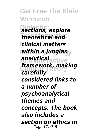**Get Free The Klein Winnicott Dialectic:** *sections, explore* **Transformative** *theoretical and* **New** *clinical matters* **Metapsychology** *within a Jungian* **And Interactive** *analytical* **Clinical Theory** *framework, making carefully considered links to a number of psychoanalytical themes and concepts. The book also includes a section on ethics in* Page 171/215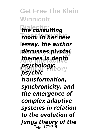**Get Free The Klein Winnicott Dialectic:** *the consulting* **Transformative** *room. In her new* **New** *essay, the author* **Metapsychology** *discusses pivotal* **And Interactive** *themes in depth* **psychology:**<br>**psychology:** *psychic transformation, synchronicity, and the emergence of complex adaptive systems in relation to the evolution of Jungs theory of the* Page 172/215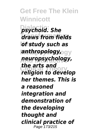**Get Free The Klein Winnicott Dialectic:** *psychoid. She* **Transformative** *draws from fields* **New** *of study such as* **Metapsychology** *anthropology,* **And Interactive** *neuropsychology,* **Clinical Theory** *religion to develop the arts and her themes. This is a reasoned integration and demonstration of the developing thought and clinical practice of* Page 173/215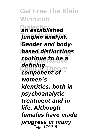**Get Free The Klein Winnicott Dialectic:** *an established* **Transformative** *Jungian analyst.* **New** *Gender and body-***Metapsychology** *based distinctions* **And Interactive** *continue to be a component of defining women's identities, both in psychoanalytic treatment and in life. Although females have made progress in many* Page 174/215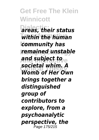**Get Free The Klein Winnicott Dialectic:** *areas, their status* **Transformative** *within the human* **New** *community has* **Metapsychology** *remained unstable* **And Interactive** *and subject to* **Clinical Theory** *Womb of Her Own societal whim. A brings together a distinguished group of contributors to explore, from a psychoanalytic perspective, the* Page 175/215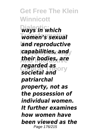**Get Free The Klein Winnicott Dialectic:** *ways in which* **Transformative** *women's sexual* **New** *and reproductive* **Metapsychology** *capabilities, and* **And Interactive** *their bodies, are* **Clinical Theory** *societal and regarded as patriarchal property, not as the possession of individual women. It further examines how women have been viewed as the* Page 176/215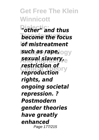**Get Free The Klein Winnicott Dialectic:** *"other" and thus* **become the focus New** *of mistreatment* **Metapsychology** *such as rape,* **And Interactive** *sexual slavery,* **restriction of**<br>**reproduction** *reproduction rights, and ongoing societal repression. ? Postmodern gender theories have greatly enhanced* Page 177/215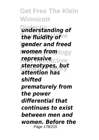**Get Free The Klein Winnicott Dialectic:** *understanding of the fluidity of* **New** *gender and freed Women from* **logy And Interactive** *repressive* **Clinical Theory** *attention has stereotypes, but shifted prematurely from the power differential that continues to exist between men and women. Before the* Page 178/215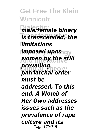**Get Free The Klein Winnicott Dialectic:** *male/female binary* **Transformative** *is transcended, the* **New** *limitations* **Metapsychology** *imposed upon* **And Interactive** *women by the still* **Clinical Theory** *patriarchal order prevailing must be addressed. To this end, A Womb of Her Own addresses issues such as the prevalence of rape culture and its* Page 179/215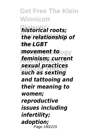**Get Free The Klein Winnicott Dialectic:** *historical roots;* **Transformative** *the relationship of* **New** *the LGBT movement to* ogy **And Interactive** *feminism; current* **Clinical Theory** *such as sexting sexual practices and tattooing and their meaning to women; reproductive issues including infertility; adoption;* Page 180/215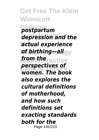**Get Free The Klein Winnicott Dialectic:** *postpartum*  $d$ *epression and the* **New** *actual experience* **Metapsychology** *of birthing—all* **And Interactive** *from the* **Clinical Theory** *women. The book perspectives of also explores the cultural definitions of motherhood, and how such definitions set exacting standards both for the* Page 181/215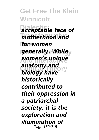**Get Free The Klein Winnicott Dialectic:** *acceptable face of* **Transformative** *motherhood and* **New** *for women* **generally. While**y **And Interactive** *women's unique anatomy and anatomy and historically contributed to their oppression in a patriarchal society, it is the exploration and illumination of* Page 182/215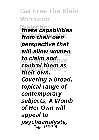**Get Free The Klein Winnicott**

**Dialectic:** *these capabilities from their own* **New** *perspective that* **Metapsychology** *will allow women to claim and* tive **Clinical Theory** *control them as their own. Covering a broad, topical range of contemporary subjects, A Womb of Her Own will appeal to psychoanalysts,* Page 183/215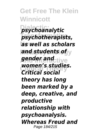**Get Free The Klein Winnicott Dialectic:** *psychoanalytic* **Transformative** *psychotherapists,* **New** *as well as scholars and students of* $\mathbf{y}$ **And Interactive** *gender and* **Clinical Theory** *Critical social women's studies. theory has long been marked by a deep, creative, and productive relationship with psychoanalysis. Whereas Freud and* Page 184/215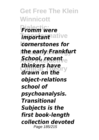**Get Free The Klein Winnicott Fromm were Tmportant** ative **New** *cornerstones for* **Metapsychology** *the early Frankfurt* **And Interactive** *School, recent drawn on the thinkers have object-relations school of psychoanalysis. Transitional Subjects is the first book-length collection devoted* Page 185/215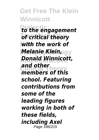**Get Free The Klein Winnicott Dialectic:** *to the engagement* **Transformative** *of critical theory* **New** *with the work of* **Metapsychology** *Melanie Klein,* **And Interactive** *Donald Winnicott,* **Clinical Theory** *members of this and other school. Featuring contributions from some of the leading figures working in both of these fields, including Axel* Page 186/215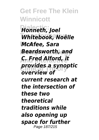**Get Free The Klein Winnicott Dialectic:** *Honneth, Joel* **Transformative** *Whitebook, Noëlle* **New** *McAfee, Sara* **Metapsychology** *Beardsworth, and* **And Interactive** *C. Fred Alford, it* **provides a synoptic** *overview of current research at the intersection of these two theoretical traditions while also opening up space for further* Page 187/215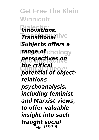**Get Free The Klein Winnicott Dialectic:** *innovations.*  $\overline{\textbf{J}}$ ransitional<sup>tive</sup> **New** *Subjects offers a* **Metapsychology** *range of* **And Interactive** *perspectives on* **Clinical Theory** *potential of objectthe critical relations psychoanalysis, including feminist and Marxist views, to offer valuable insight into such fraught social* Page 188/215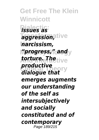**Get Free The Klein Winnicott Dialectic:** *issues as* **Transformative** *aggression,* **New** *narcissism,* **Metapsychology** *"progress," and* **And Interactive** *torture. The* **Clinical Theory** *dialogue that productive emerges augments our understanding of the self as intersubjectively and socially constituted and of contemporary* Page 189/215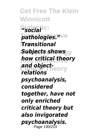**Get Free The Klein Winnicott Disocial**<sup>ic:</sup> **Transformative** *pathologies."* **New** *Transitional* **Metapsychology** *Subjects shows* **And Interactive** *how critical theory* and object-<br>*and objectrelations psychoanalysis, considered together, have not only enriched critical theory but also invigorated psychoanalysis.* Page 190/215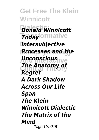**Get Free The Klein Winnicott Dialectic:** *Donald Winnicott* **Today** formative **Intersubjective Metapsychology** *Processes and the* **And Interactive** *Unconscious The Anatomy of*<br>*Reduced* Theory *Regret A Dark Shadow Across Our Life Span The Klein-Winnicott Dialectic The Matrix of the Mind* Page 191/215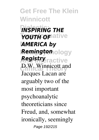**Get Free The Klein Winnicott INSPIRING THE Transformative** *YOUTH OF* **AMERICA by Remington**ology **And Interactive** *Registry* **Clinical Theory** D.W. Winnicott and Jacques Lacan are arguably two of the most important psychoanalytic theoreticians since Freud, and, somewhat ironically, seemingly Page 192/215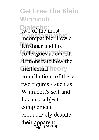**Get Free The Klein Winnicott Dialectic:** two of the most **Incompatible.** Lewis **Kirshner** and his colleagues attempt to demonstrate how the **intellectual** heory contributions of these two figures - such as Winnicott's self and Lacan's subject complement productively despite their apparent Page 193/215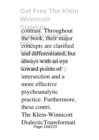**Get Free The Klein Winnicott Dialectic:** Throughout the book, their major concepts are clarified and differentiated, but **And Interactive** always with an eye toward points of y intersection and a more effective psychoanalytic practice. Furthermore, these contri. The Klein-Winnicott DialecticTransformati Page 194/215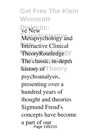**Get Free The Klein Winnicott De New IC: Metapsychology** and **Interactive Clinical** TheoryRoutledge<sup>9</sup>y **The classic, in-depth Clinical Theory** history of psychoanalysis, presenting over a hundred years of thought and theories Sigmund Freud's concepts have become a part of our Page 195/215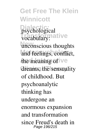**Get Free The Klein Winnicott Dialectic:** psychological vocabulary: ative unconscious thoughts and feelings, conflict, the meaning of ive dreams, the sensuality of childhood. But psychoanalytic thinking has undergone an enormous expansion and transformation since Freud's death in Page 196/215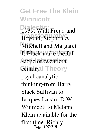**Get Free The Klein Winnicott** 1939. With Freud and Beyond, Stephen A. **Mitchell and Margaret J. Black make the full** scope of twentieth Centuryal Theory psychoanalytic thinking-from Harry Stack Sullivan to Jacques Lacan; D.W. Winnicott to Melanie Klein-available for the first time. Richly Page 197/215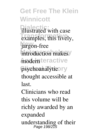**Get Free The Klein Winnicott** illustrated with case examples, this lively, jargon-free introduction makes<sup>y</sup> *Andernteractive* psychoanalyticory thought accessible at last. Clinicians who read this volume will be richly awarded by an expanded

understanding of their Page 198/215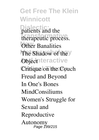**Get Free The Klein Winnicott Dialectic:** patients and the therapeutic process. **Other Banalities** The Shadow of the Y **Objectnteractive** Critique on the Couch Freud and Beyond In One's Bones MindConsiliums Women's Struggle for Sexual and Reproductive Autonomy Page 199/215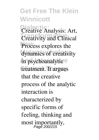## **Get Free The Klein Winnicott**

**Dialectic:** Creative Analysis: Art, **Transformation** Process explores the dynamics of creativity in psychoanalytic<sup>e</sup> treatment. It argues that the creative process of the analytic interaction is characterized by specific forms of feeling, thinking and most importantly,<br>Page 200/215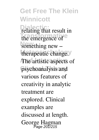**Get Free The Klein Winnicott Dialectic:** relating that result in the emergence of something new – therapeutic change. The artistic aspects of psychoanalysis and<br>various features of creativity in analytic treatment are explored. Clinical examples are discussed at length. George Hagman Page 201/215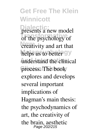## **Get Free The Klein Winnicott Dialectic:** presents a new model of the psychology of **New** creativity and art that helps us to better gy understand the clinical process. The book explores and develops several important implications of Hagman's main thesis: the psychodynamics of art, the creativity of the brain, aesthetic Page 202/215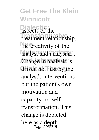**Get Free The Klein Winnicott Dialectic:** aspects of the **Transformative** treatment relationship, the creativity of the analyst and analysand. **Change** in analysis is driven not just by the analyst's interventions but the patient's own motivation and capacity for selftransformation. This change is depicted here as a depth Page 203/215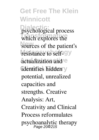**Get Free The Klein Winnicott** psychological process which explores the sources of the patient's resistance to self-<sup>oy</sup> actualization and e identifies hidden y potential, unrealized capacities and strengths. Creative Analysis: Art, Creativity and Clinical Process reformulates psychoanalytic therapy Page 204/215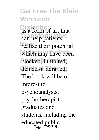**Get Free The Klein Winnicott Dialectic:** as a form of art that can help patients<sup>te</sup> realize their potential which may have been blocked, inhibited, denied or derailed. The book will be of interest to psychoanalysts, psychotherapists, graduates and students, including the educated public Page 205/215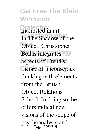**Get Free The Klein Winnicott Dialective** in art. In The Shadow of the Object, Christopher **Bollas integrates** gy aspects of Freud's<sup>e</sup> theory of unconscious thinking with elements from the British Object Relations School. In doing so, he offers radical new visions of the scope of psychoanalysis and Page 206/215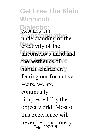**Get Free The Klein Winnicott Dialectic:** expands our understanding of the *<u>creativity</u>* of the unconscious mind and the aesthetics of ve human character. y During our formative years, we are continually "impressed" by the object world. Most of this experience will never be consciously Page 207/215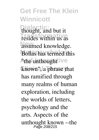**Get Free The Klein Winnicott Dialectic:** thought, and but it resides within us as assumed knowledge. **Bollas has termed this** A<sub>the</sub> unthought ive known", a phrase that has ramified through many realms of human exploration, including the worlds of letters, psychology and the arts. Aspects of the unthought known --the Page 208/215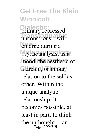**Get Free The Klein Winnicott Dialectic:** unconscious --will<sup>2</sup> emerge during a psychoanalysis, as a mood, the aesthetic of a dream, or in our ary repressed relation to the self as other. Within the unique analytic relationship, it becomes possible, at least in part, to think the unthought -- an Page 209/215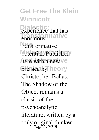**Get Free The Klein Winnicott Disperience** that has **Transformative** enormous **New** transformative potential. Published here with a new ve preface by heory Christopher Bollas, The Shadow of the Object remains a classic of the psychoanalytic literature, written by a truly original thinker. Page 210/215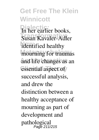**Get Free The Klein Winnicott** In her earlier books, **Susan Kavaler-Adler** identified healthy mourning for traumas and life changes as an essential aspect of successful analysis, and drew the distinction between a healthy acceptance of mourning as part of development and pathological Page 211/215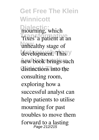**Get Free The Klein Winnicott Dialectic:** mourning, which **Trixes** a patient at an unhealthy stage of development. This y new book brings such distinctions into the consulting room, exploring how a successful analyst can help patients to utilise mourning for past troubles to move them forward to a lasting Page 212/215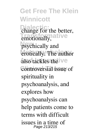**Get Free The Klein Winnicott Change for the better, Emotionally, at ive psychically** and erotically. The author also tackles the **Ve** controversial issue of spirituality in psychoanalysis, and explores how psychoanalysis can help patients come to terms with difficult issues in a time of Page 213/215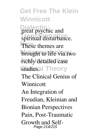**Get Free The Klein Winnicott Direction**<br>
great psychic and **Transformative** spiritual disturbance. These themes are brought to life via two richly detailed case Studiesal Theory The Clinical Genius of **Winnicott** An Integration of Freudian, Kleinian and Bionian Perspectives Pain, Post-Traumatic Growth and Self-Page 214/215